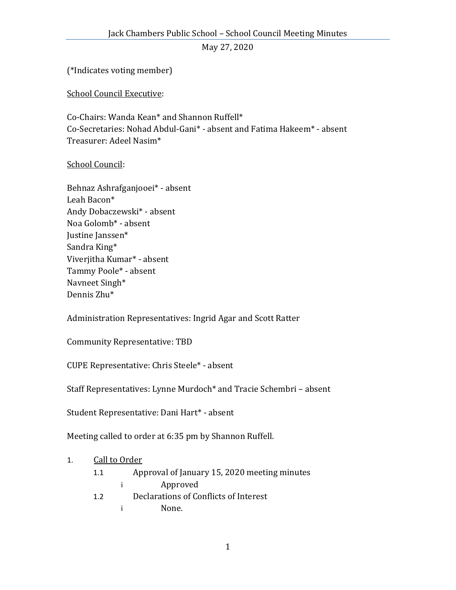May 27, 2020

(\*Indicates voting member)

School Council Executive:

Co-Chairs: Wanda Kean\* and Shannon Ruffell\* Co-Secretaries: Nohad Abdul-Gani\* - absent and Fatima Hakeem\* - absent Treasurer: Adeel Nasim\*

## School Council:

Behnaz Ashrafganjooei\* - absent Leah Bacon\* Andy Dobaczewski\* - absent Noa Golomb\* - absent Justine Janssen\* Sandra King\* Viverjitha Kumar\* - absent Tammy Poole\* - absent Navneet Singh\* Dennis Zhu\*

Administration Representatives: Ingrid Agar and Scott Ratter

Community Representative: TBD

CUPE Representative: Chris Steele\* - absent

Staff Representatives: Lynne Murdoch\* and Tracie Schembri – absent

Student Representative: Dani Hart\* - absent

Meeting called to order at 6:35 pm by Shannon Ruffell.

## 1. Call to Order

- 1.1 Approval of January 15, 2020 meeting minutes i Approved
- 1.2 Declarations of Conflicts of Interest
	- i None.